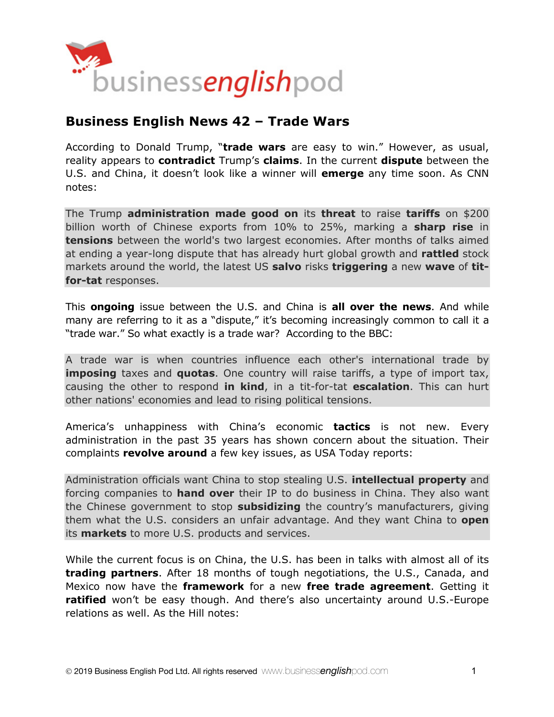

# **Business English News 42 – Trade Wars**

According to Donald Trump, "**trade wars** are easy to win." However, as usual, reality appears to **contradict** Trump's **claims**. In the current **dispute** between the U.S. and China, it doesn't look like a winner will **emerge** any time soon. As CNN notes:

The Trump **administration made good on** its **threat** to raise **tariffs** on \$200 billion worth of Chinese exports from 10% to 25%, marking a **sharp rise** in **tensions** between the world's two largest economies. After months of talks aimed at ending a year-long dispute that has already hurt global growth and **rattled** stock markets around the world, the latest US **salvo** risks **triggering** a new **wave** of **titfor-tat** responses.

This **ongoing** issue between the U.S. and China is **all over the news**. And while many are referring to it as a "dispute," it's becoming increasingly common to call it a "trade war." So what exactly is a trade war? According to the BBC:

A trade war is when countries influence each other's international trade by **imposing** taxes and **quotas**. One country will raise tariffs, a type of import tax, causing the other to respond **in kind**, in a tit-for-tat **escalation**. This can hurt other nations' economies and lead to rising political tensions.

America's unhappiness with China's economic **tactics** is not new. Every administration in the past 35 years has shown concern about the situation. Their complaints **revolve around** a few key issues, as USA Today reports:

Administration officials want China to stop stealing U.S. **intellectual property** and forcing companies to **hand over** their IP to do business in China. They also want the Chinese government to stop **subsidizing** the country's manufacturers, giving them what the U.S. considers an unfair advantage. And they want China to **open** its **markets** to more U.S. products and services.

While the current focus is on China, the U.S. has been in talks with almost all of its **trading partners**. After 18 months of tough negotiations, the U.S., Canada, and Mexico now have the **framework** for a new **free trade agreement**. Getting it **ratified** won't be easy though. And there's also uncertainty around U.S.-Europe relations as well. As the Hill notes: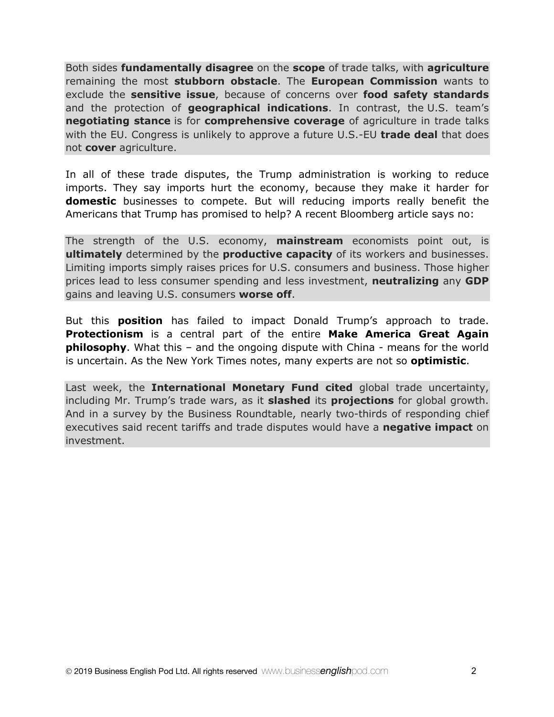Both sides **fundamentally disagree** on the **scope** of trade talks, with **agriculture** remaining the most **stubborn obstacle**. The **European Commission** wants to exclude the **sensitive issue**, because of concerns over **food safety standards** and the protection of **geographical indications**. In contrast, the U.S. team's **negotiating stance** is for **comprehensive coverage** of agriculture in trade talks with the EU. Congress is unlikely to approve a future U.S.-EU **trade deal** that does not **cover** agriculture.

In all of these trade disputes, the Trump administration is working to reduce imports. They say imports hurt the economy, because they make it harder for **domestic** businesses to compete. But will reducing imports really benefit the Americans that Trump has promised to help? A recent Bloomberg article says no:

The strength of the U.S. economy, **mainstream** economists point out, is **ultimately** determined by the **productive capacity** of its workers and businesses. Limiting imports simply raises prices for U.S. consumers and business. Those higher prices lead to less consumer spending and less investment, **neutralizing** any **GDP** gains and leaving U.S. consumers **worse off**.

But this **position** has failed to impact Donald Trump's approach to trade. **Protectionism** is a central part of the entire **Make America Great Again philosophy**. What this – and the ongoing dispute with China - means for the world is uncertain. As the New York Times notes, many experts are not so **optimistic**.

Last week, the **International Monetary Fund cited** global trade uncertainty, including Mr. Trump's trade wars, as it **slashed** its **projections** for global growth. And in a survey by the Business Roundtable, nearly two-thirds of responding chief executives said recent tariffs and trade disputes would have a **negative impact** on investment.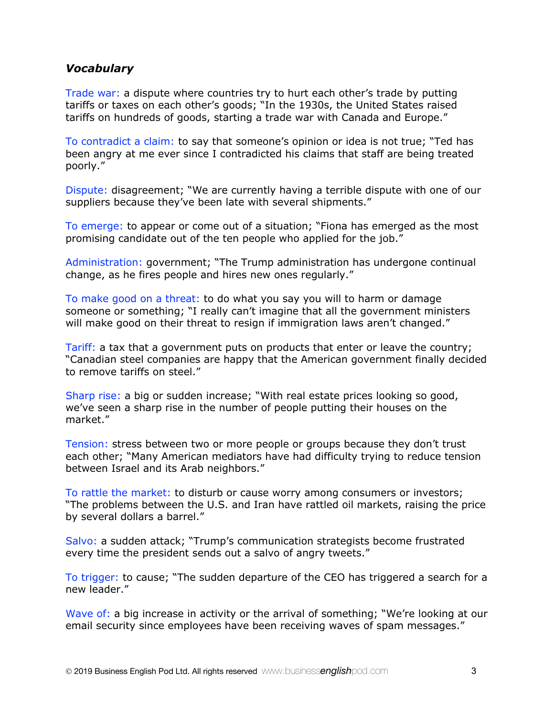## *Vocabulary*

Trade war: a dispute where countries try to hurt each other's trade by putting tariffs or taxes on each other's goods; "In the 1930s, the United States raised tariffs on hundreds of goods, starting a trade war with Canada and Europe."

To contradict a claim: to say that someone's opinion or idea is not true; "Ted has been angry at me ever since I contradicted his claims that staff are being treated poorly."

Dispute: disagreement; "We are currently having a terrible dispute with one of our suppliers because they've been late with several shipments."

To emerge: to appear or come out of a situation; "Fiona has emerged as the most promising candidate out of the ten people who applied for the job."

Administration: government; "The Trump administration has undergone continual change, as he fires people and hires new ones regularly."

To make good on a threat: to do what you say you will to harm or damage someone or something; "I really can't imagine that all the government ministers will make good on their threat to resign if immigration laws aren't changed."

Tariff: a tax that a government puts on products that enter or leave the country; "Canadian steel companies are happy that the American government finally decided to remove tariffs on steel."

Sharp rise: a big or sudden increase; "With real estate prices looking so good, we've seen a sharp rise in the number of people putting their houses on the market."

Tension: stress between two or more people or groups because they don't trust each other; "Many American mediators have had difficulty trying to reduce tension between Israel and its Arab neighbors."

To rattle the market: to disturb or cause worry among consumers or investors; "The problems between the U.S. and Iran have rattled oil markets, raising the price by several dollars a barrel."

Salvo: a sudden attack; "Trump's communication strategists become frustrated every time the president sends out a salvo of angry tweets."

To trigger: to cause; "The sudden departure of the CEO has triggered a search for a new leader."

Wave of: a big increase in activity or the arrival of something; "We're looking at our email security since employees have been receiving waves of spam messages."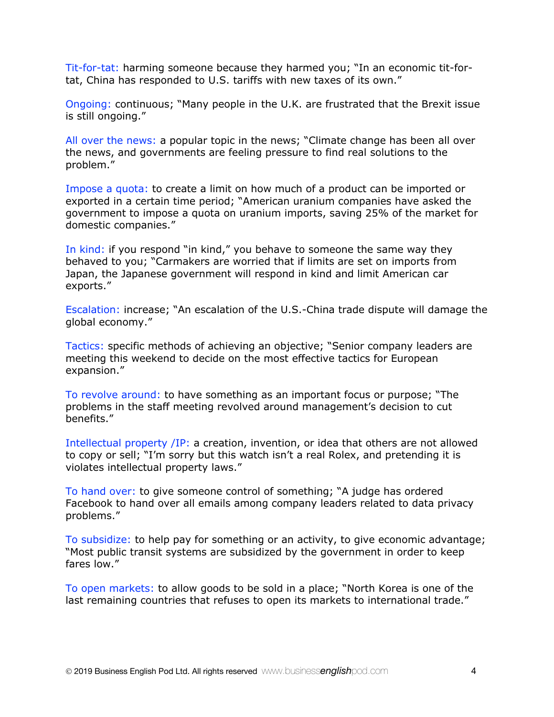Tit-for-tat: harming someone because they harmed you; "In an economic tit-fortat, China has responded to U.S. tariffs with new taxes of its own."

Ongoing: continuous; "Many people in the U.K. are frustrated that the Brexit issue is still ongoing."

All over the news: a popular topic in the news; "Climate change has been all over the news, and governments are feeling pressure to find real solutions to the problem."

Impose a quota: to create a limit on how much of a product can be imported or exported in a certain time period; "American uranium companies have asked the government to impose a quota on uranium imports, saving 25% of the market for domestic companies."

In kind: if you respond "in kind," you behave to someone the same way they behaved to you; "Carmakers are worried that if limits are set on imports from Japan, the Japanese government will respond in kind and limit American car exports."

Escalation: increase; "An escalation of the U.S.-China trade dispute will damage the global economy."

Tactics: specific methods of achieving an objective; "Senior company leaders are meeting this weekend to decide on the most effective tactics for European expansion."

To revolve around: to have something as an important focus or purpose; "The problems in the staff meeting revolved around management's decision to cut benefits."

Intellectual property /IP: a creation, invention, or idea that others are not allowed to copy or sell; "I'm sorry but this watch isn't a real Rolex, and pretending it is violates intellectual property laws."

To hand over: to give someone control of something; "A judge has ordered Facebook to hand over all emails among company leaders related to data privacy problems."

To subsidize: to help pay for something or an activity, to give economic advantage; "Most public transit systems are subsidized by the government in order to keep fares low."

To open markets: to allow goods to be sold in a place; "North Korea is one of the last remaining countries that refuses to open its markets to international trade."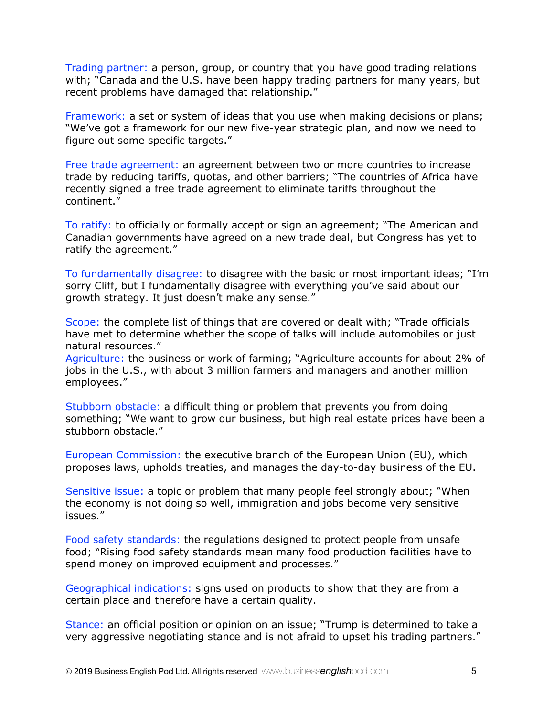Trading partner: a person, group, or country that you have good trading relations with; "Canada and the U.S. have been happy trading partners for many years, but recent problems have damaged that relationship."

Framework: a set or system of ideas that you use when making decisions or plans; "We've got a framework for our new five-year strategic plan, and now we need to figure out some specific targets."

Free trade agreement: an agreement between two or more countries to increase trade by reducing tariffs, quotas, and other barriers; "The countries of Africa have recently signed a free trade agreement to eliminate tariffs throughout the continent."

To ratify: to officially or formally accept or sign an agreement; "The American and Canadian governments have agreed on a new trade deal, but Congress has yet to ratify the agreement."

To fundamentally disagree: to disagree with the basic or most important ideas; "I'm sorry Cliff, but I fundamentally disagree with everything you've said about our growth strategy. It just doesn't make any sense."

Scope: the complete list of things that are covered or dealt with; "Trade officials have met to determine whether the scope of talks will include automobiles or just natural resources."

Agriculture: the business or work of farming; "Agriculture accounts for about 2% of jobs in the U.S., with about 3 million farmers and managers and another million employees."

Stubborn obstacle: a difficult thing or problem that prevents you from doing something; "We want to grow our business, but high real estate prices have been a stubborn obstacle."

European Commission: the executive branch of the European Union (EU), which proposes laws, upholds treaties, and manages the day-to-day business of the EU.

Sensitive issue: a topic or problem that many people feel strongly about; "When the economy is not doing so well, immigration and jobs become very sensitive issues."

Food safety standards: the regulations designed to protect people from unsafe food; "Rising food safety standards mean many food production facilities have to spend money on improved equipment and processes."

Geographical indications: signs used on products to show that they are from a certain place and therefore have a certain quality.

Stance: an official position or opinion on an issue; "Trump is determined to take a very aggressive negotiating stance and is not afraid to upset his trading partners."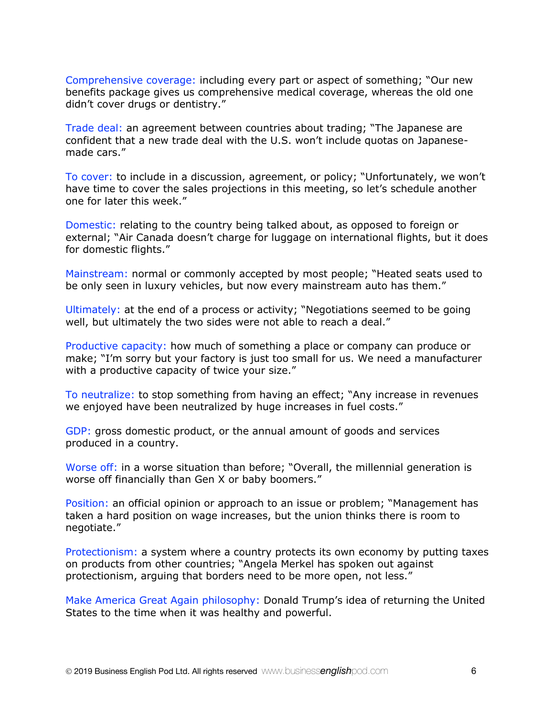Comprehensive coverage: including every part or aspect of something; "Our new benefits package gives us comprehensive medical coverage, whereas the old one didn't cover drugs or dentistry."

Trade deal: an agreement between countries about trading; "The Japanese are confident that a new trade deal with the U.S. won't include quotas on Japanesemade cars."

To cover: to include in a discussion, agreement, or policy; "Unfortunately, we won't have time to cover the sales projections in this meeting, so let's schedule another one for later this week."

Domestic: relating to the country being talked about, as opposed to foreign or external; "Air Canada doesn't charge for luggage on international flights, but it does for domestic flights."

Mainstream: normal or commonly accepted by most people; "Heated seats used to be only seen in luxury vehicles, but now every mainstream auto has them."

Ultimately: at the end of a process or activity; "Negotiations seemed to be going well, but ultimately the two sides were not able to reach a deal."

Productive capacity: how much of something a place or company can produce or make; "I'm sorry but your factory is just too small for us. We need a manufacturer with a productive capacity of twice your size."

To neutralize: to stop something from having an effect; "Any increase in revenues we enjoyed have been neutralized by huge increases in fuel costs."

GDP: gross domestic product, or the annual amount of goods and services produced in a country.

Worse off: in a worse situation than before; "Overall, the millennial generation is worse off financially than Gen X or baby boomers."

Position: an official opinion or approach to an issue or problem; "Management has taken a hard position on wage increases, but the union thinks there is room to negotiate."

Protectionism: a system where a country protects its own economy by putting taxes on products from other countries; "Angela Merkel has spoken out against protectionism, arguing that borders need to be more open, not less."

Make America Great Again philosophy: Donald Trump's idea of returning the United States to the time when it was healthy and powerful.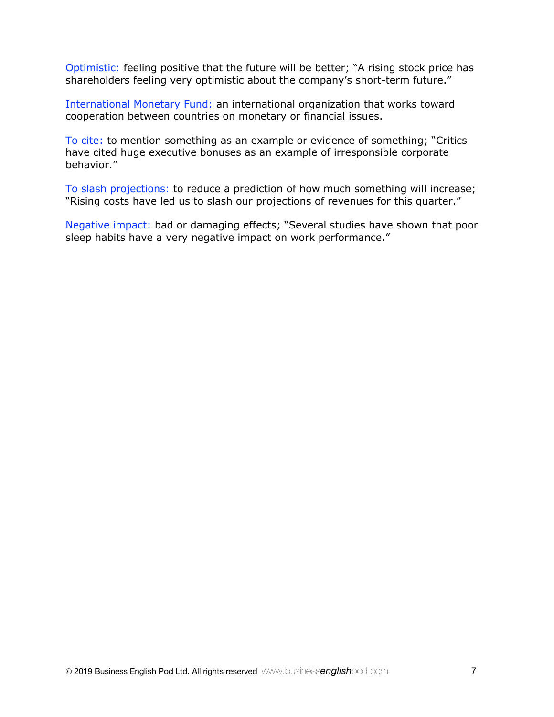Optimistic: feeling positive that the future will be better; "A rising stock price has shareholders feeling very optimistic about the company's short-term future."

International Monetary Fund: an international organization that works toward cooperation between countries on monetary or financial issues.

To cite: to mention something as an example or evidence of something; "Critics have cited huge executive bonuses as an example of irresponsible corporate behavior."

To slash projections: to reduce a prediction of how much something will increase; "Rising costs have led us to slash our projections of revenues for this quarter."

Negative impact: bad or damaging effects; "Several studies have shown that poor sleep habits have a very negative impact on work performance."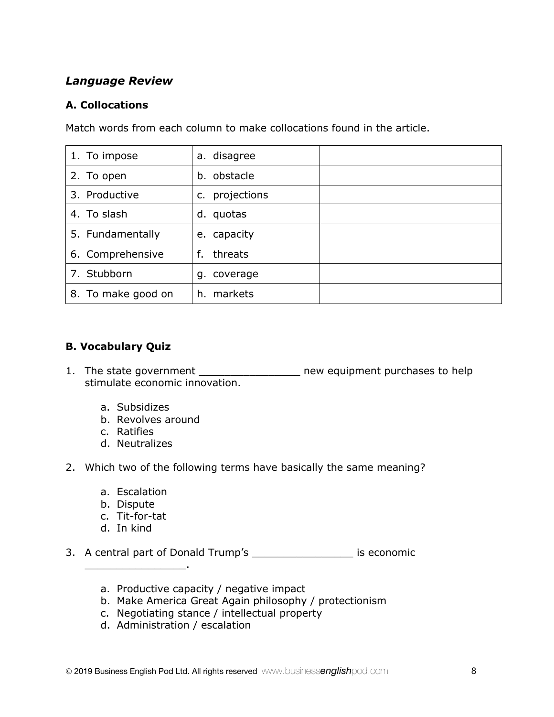## *Language Review*

#### **A. Collocations**

Match words from each column to make collocations found in the article.

| 1. To impose       | a. disagree       |  |
|--------------------|-------------------|--|
| 2. To open         | b. obstacle       |  |
| 3. Productive      | projections<br>c. |  |
| 4. To slash        | quotas<br>d.      |  |
| 5. Fundamentally   | e. capacity       |  |
| 6. Comprehensive   | threats<br>f.     |  |
| 7. Stubborn        | q. coverage       |  |
| 8. To make good on | h. markets        |  |

## **B. Vocabulary Quiz**

- 1. The state government \_\_\_\_\_\_\_\_\_\_\_\_\_\_\_\_\_\_\_ new equipment purchases to help stimulate economic innovation.
	- a. Subsidizes
	- b. Revolves around
	- c. Ratifies
	- d. Neutralizes
- 2. Which two of the following terms have basically the same meaning?
	- a. Escalation
	- b. Dispute
	- c. Tit-for-tat

\_\_\_\_\_\_\_\_\_\_\_\_\_\_\_\_.

d. In kind

3. A central part of Donald Trump's \_\_\_\_\_\_\_\_\_\_\_\_\_\_\_\_ is economic

- a. Productive capacity / negative impact
- b. Make America Great Again philosophy / protectionism
- c. Negotiating stance / intellectual property
- d. Administration / escalation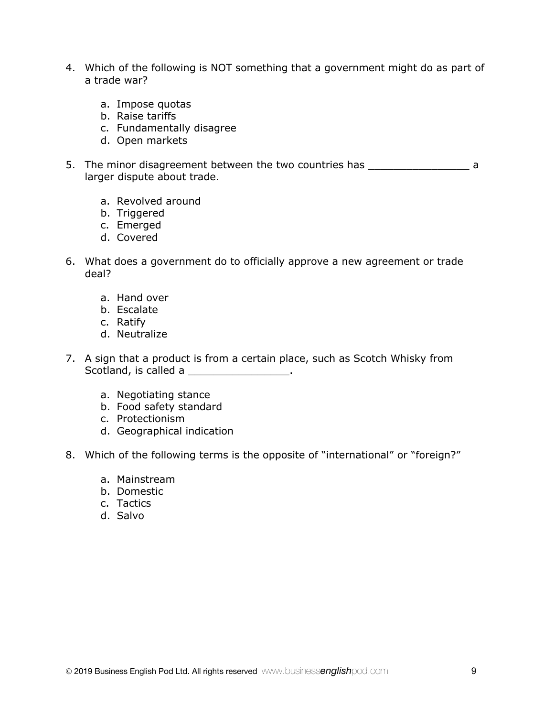- 4. Which of the following is NOT something that a government might do as part of a trade war?
	- a. Impose quotas
	- b. Raise tariffs
	- c. Fundamentally disagree
	- d. Open markets
- 5. The minor disagreement between the two countries has \_\_\_\_\_\_\_\_\_\_\_\_\_\_\_\_\_\_\_\_\_\_\_ a larger dispute about trade.
	- a. Revolved around
	- b. Triggered
	- c. Emerged
	- d. Covered
- 6. What does a government do to officially approve a new agreement or trade deal?
	- a. Hand over
	- b. Escalate
	- c. Ratify
	- d. Neutralize
- 7. A sign that a product is from a certain place, such as Scotch Whisky from Scotland, is called a \_\_\_\_\_\_\_\_\_\_\_\_\_\_\_\_\_.
	- a. Negotiating stance
	- b. Food safety standard
	- c. Protectionism
	- d. Geographical indication
- 8. Which of the following terms is the opposite of "international" or "foreign?"
	- a. Mainstream
	- b. Domestic
	- c. Tactics
	- d. Salvo